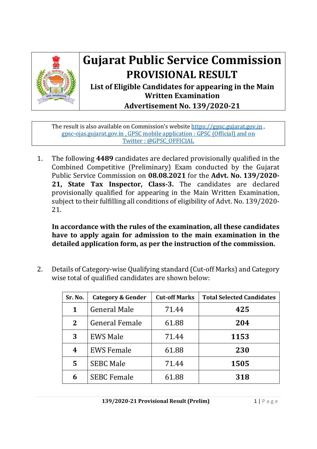

## **Gujarat Public Service Commission PROVISIONAL RESULT**

**List of Eligible Candidates for appearing in the Main Written Examination Advertisement No. 139/2020‐21**

The result is also available on Commission's website https://gpsc.gujarat.gov.in , gpsc-ojas.gujarat.gov.in , GPSC mobile application : GPSC (Official) and on Twitter : @GPSC\_OFFICIAL

1. The following **4489** candidates are declared provisionally qualified in the Combined Competitive (Preliminary) Exam conducted by the Gujarat Public Service Commission on **08.08.2021** for the **Advt. No. 139/2020‐ 21, State Tax Inspector, Class‐3.** The candidates are declared provisionally qualified for appearing in the Main Written Examination, subject to their fulfilling all conditions of eligibility of Advt. No. 139/2020- 21.

**In accordance with the rules of the examination, all these candidates have to apply again for admission to the main examination in the detailed application form, as per the instruction of the commission.**

2. Details of Category-wise Qualifying standard (Cut-off Marks) and Category wise total of qualified candidates are shown below:

| Sr. No.      | <b>Category &amp; Gender</b> | <b>Cut-off Marks</b> | <b>Total Selected Candidates</b> |
|--------------|------------------------------|----------------------|----------------------------------|
| 1            | <b>General Male</b>          | 71.44                | 425                              |
| $\mathbf{2}$ | <b>General Female</b>        | 61.88                | 204                              |
| 3            | <b>EWS Male</b>              | 71.44                | 1153                             |
| 4            | <b>EWS Female</b>            | 61.88                | 230                              |
| 5            | <b>SEBC Male</b>             | 71.44                | 1505                             |
| 6            | <b>SEBC Female</b>           | 61.88                | 318                              |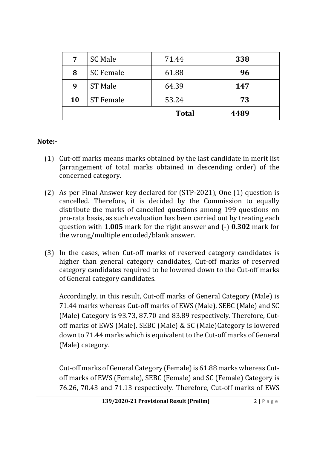| 7  | <b>SC Male</b>   | 71.44        | 338  |
|----|------------------|--------------|------|
| 8  | <b>SC Female</b> | 61.88        | 96   |
| 9  | <b>ST Male</b>   | 64.39        | 147  |
| 10 | <b>ST Female</b> | 53.24        | 73   |
|    |                  | <b>Total</b> | 4489 |

## **Note:‐**

- (1) Cut-off marks means marks obtained by the last candidate in merit list (arrangement of total marks obtained in descending order) of the concerned category.
- (2) As per Final Answer key declared for (STP-2021), One (1) question is cancelled. Therefore, it is decided by the Commission to equally distribute the marks of cancelled questions among 199 questions on pro-rata basis, as such evaluation has been carried out by treating each question with **1.005** mark for the right answer and (-) **0.302** mark for the wrong/multiple encoded/blank answer.
- (3) In the cases, when Cut-off marks of reserved category candidates is higher than general category candidates, Cut-off marks of reserved category candidates required to be lowered down to the Cut-off marks of General category candidates.

Accordingly, in this result, Cut-off marks of General Category (Male) is 71.44 marks whereas Cut-off marks of EWS (Male), SEBC (Male) and SC (Male) Category is 93.73, 87.70 and 83.89 respectively. Therefore, Cutoff marks of EWS (Male), SEBC (Male) & SC (Male)Category is lowered down to 71.44 marks which is equivalent to the Cut-off marks of General (Male) category.

Cut-off marks of General Category (Female) is 61.88 marks whereas Cutoff marks of EWS (Female), SEBC (Female) and SC (Female) Category is 76.26, 70.43 and 71.13 respectively. Therefore, Cut-off marks of EWS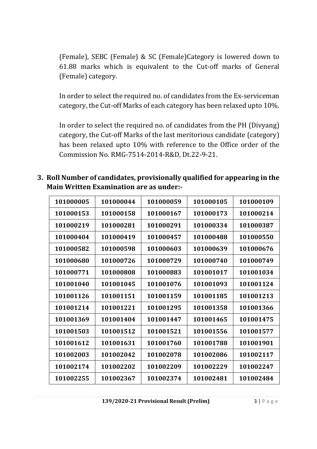(Female), SEBC (Female) & SC (Female)Category is lowered down to 61.88 marks which is equivalent to the Cut-off marks of General (Female) category.

In order to select the required no. of candidates from the Ex-serviceman category, the Cut-off Marks of each category has been relaxed upto 10%.

In order to select the required no. of candidates from the PH (Divyang) category, the Cut-off Marks of the last meritorious candidate (category) has been relaxed upto 10% with reference to the Office order of the Commission No. RMG-7514-2014-R&D, Dt.22-9-21.

**3. Roll Number of candidates, provisionally qualified for appearing in the Main Written Examination are as under:‐** 

| 101000044 | 101000059 | 101000105 | 101000109 |
|-----------|-----------|-----------|-----------|
| 101000158 | 101000167 | 101000173 | 101000214 |
| 101000281 | 101000291 | 101000334 | 101000387 |
| 101000419 | 101000457 | 101000488 | 101000550 |
| 101000598 | 101000603 | 101000639 | 101000676 |
| 101000726 | 101000729 | 101000740 | 101000749 |
| 101000808 | 101000883 | 101001017 | 101001034 |
| 101001045 | 101001076 | 101001093 | 101001124 |
| 101001151 | 101001159 | 101001185 | 101001213 |
| 101001221 | 101001295 | 101001358 | 101001366 |
| 101001404 | 101001447 | 101001465 | 101001475 |
| 101001512 | 101001521 | 101001556 | 101001577 |
| 101001631 | 101001760 | 101001788 | 101001901 |
| 101002042 | 101002078 | 101002086 | 101002117 |
| 101002202 | 101002209 | 101002229 | 101002247 |
| 101002367 | 101002374 | 101002481 | 101002484 |
|           |           |           |           |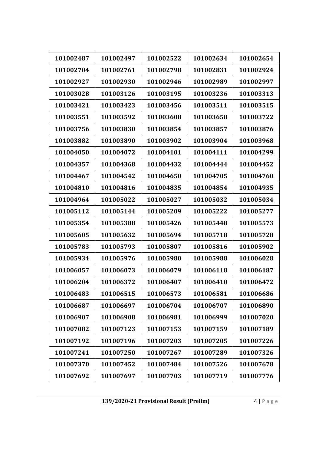| 101002487 | 101002497 | 101002522 | 101002634 | 101002654 |
|-----------|-----------|-----------|-----------|-----------|
| 101002704 | 101002761 | 101002798 | 101002831 | 101002924 |
| 101002927 | 101002930 | 101002946 | 101002989 | 101002997 |
| 101003028 | 101003126 | 101003195 | 101003236 | 101003313 |
| 101003421 | 101003423 | 101003456 | 101003511 | 101003515 |
| 101003551 | 101003592 | 101003608 | 101003658 | 101003722 |
| 101003756 | 101003830 | 101003854 | 101003857 | 101003876 |
| 101003882 | 101003890 | 101003902 | 101003904 | 101003968 |
| 101004050 | 101004072 | 101004101 | 101004111 | 101004299 |
| 101004357 | 101004368 | 101004432 | 101004444 | 101004452 |
| 101004467 | 101004542 | 101004650 | 101004705 | 101004760 |
| 101004810 | 101004816 | 101004835 | 101004854 | 101004935 |
| 101004964 | 101005022 | 101005027 | 101005032 | 101005034 |
| 101005112 | 101005144 | 101005209 | 101005222 | 101005277 |
| 101005354 | 101005388 | 101005426 | 101005448 | 101005573 |
| 101005605 | 101005632 | 101005694 | 101005718 | 101005728 |
| 101005783 | 101005793 | 101005807 | 101005816 | 101005902 |
| 101005934 | 101005976 | 101005980 | 101005988 | 101006028 |
| 101006057 | 101006073 | 101006079 | 101006118 | 101006187 |
| 101006204 | 101006372 | 101006407 | 101006410 | 101006472 |
| 101006483 | 101006515 | 101006573 | 101006581 | 101006686 |
| 101006687 | 101006697 | 101006704 | 101006707 | 101006890 |
| 101006907 | 101006908 | 101006981 | 101006999 | 101007020 |
| 101007082 | 101007123 | 101007153 | 101007159 | 101007189 |
| 101007192 | 101007196 | 101007203 | 101007205 | 101007226 |
| 101007241 | 101007250 | 101007267 | 101007289 | 101007326 |
| 101007370 | 101007452 | 101007484 | 101007526 | 101007678 |
| 101007692 | 101007697 | 101007703 | 101007719 | 101007776 |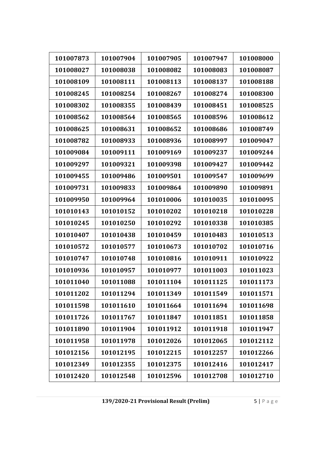| 101007873 | 101007904 | 101007905 | 101007947 | 101008000 |
|-----------|-----------|-----------|-----------|-----------|
| 101008027 | 101008038 | 101008082 | 101008083 | 101008087 |
| 101008109 | 101008111 | 101008113 | 101008137 | 101008188 |
| 101008245 | 101008254 | 101008267 | 101008274 | 101008300 |
| 101008302 | 101008355 | 101008439 | 101008451 | 101008525 |
| 101008562 | 101008564 | 101008565 | 101008596 | 101008612 |
| 101008625 | 101008631 | 101008652 | 101008686 | 101008749 |
|           |           |           |           |           |
| 101008782 | 101008933 | 101008936 | 101008997 | 101009047 |
| 101009084 | 101009111 | 101009169 | 101009237 | 101009244 |
| 101009297 | 101009321 | 101009398 | 101009427 | 101009442 |
| 101009455 | 101009486 | 101009501 | 101009547 | 101009699 |
| 101009731 | 101009833 | 101009864 | 101009890 | 101009891 |
| 101009950 | 101009964 | 101010006 | 101010035 | 101010095 |
| 101010143 | 101010152 | 101010202 | 101010218 | 101010228 |
| 101010245 | 101010250 | 101010292 | 101010338 | 101010385 |
| 101010407 | 101010438 | 101010459 | 101010483 | 101010513 |
| 101010572 | 101010577 | 101010673 | 101010702 | 101010716 |
| 101010747 | 101010748 | 101010816 | 101010911 | 101010922 |
| 101010936 | 101010957 | 101010977 | 101011003 | 101011023 |
| 101011040 | 101011088 | 101011104 | 101011125 | 101011173 |
| 101011202 | 101011294 | 101011349 | 101011549 | 101011571 |
| 101011598 | 101011610 | 101011664 | 101011694 | 101011698 |
| 101011726 | 101011767 | 101011847 | 101011851 | 101011858 |
| 101011890 | 101011904 | 101011912 | 101011918 | 101011947 |
| 101011958 | 101011978 | 101012026 | 101012065 | 101012112 |
| 101012156 | 101012195 | 101012215 | 101012257 | 101012266 |
| 101012349 | 101012355 | 101012375 | 101012416 | 101012417 |
| 101012420 | 101012548 | 101012596 | 101012708 | 101012710 |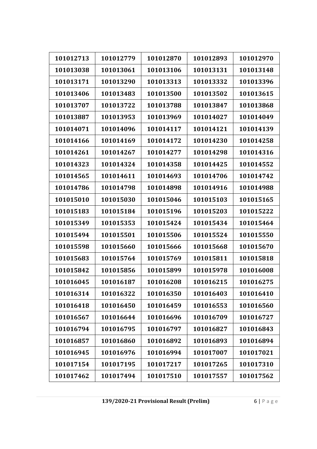| 101012713 | 101012779 | 101012870 | 101012893 | 101012970 |
|-----------|-----------|-----------|-----------|-----------|
| 101013038 | 101013061 | 101013106 | 101013131 | 101013148 |
| 101013171 | 101013290 | 101013313 | 101013332 | 101013396 |
| 101013406 | 101013483 | 101013500 | 101013502 | 101013615 |
| 101013707 | 101013722 | 101013788 | 101013847 | 101013868 |
| 101013887 | 101013953 | 101013969 | 101014027 | 101014049 |
| 101014071 | 101014096 | 101014117 | 101014121 | 101014139 |
| 101014166 | 101014169 | 101014172 | 101014230 | 101014258 |
| 101014261 | 101014267 | 101014277 | 101014298 | 101014316 |
| 101014323 | 101014324 | 101014358 | 101014425 | 101014552 |
| 101014565 | 101014611 | 101014693 | 101014706 | 101014742 |
| 101014786 | 101014798 | 101014898 | 101014916 | 101014988 |
| 101015010 | 101015030 | 101015046 | 101015103 | 101015165 |
| 101015183 | 101015184 | 101015196 | 101015203 | 101015222 |
| 101015349 | 101015353 | 101015424 | 101015434 | 101015464 |
| 101015494 | 101015501 | 101015506 | 101015524 | 101015550 |
| 101015598 | 101015660 | 101015666 | 101015668 | 101015670 |
| 101015683 | 101015764 | 101015769 | 101015811 | 101015818 |
| 101015842 | 101015856 | 101015899 | 101015978 | 101016008 |
| 101016045 | 101016187 | 101016208 | 101016215 | 101016275 |
| 101016314 | 101016322 | 101016350 | 101016403 | 101016410 |
| 101016418 | 101016450 | 101016459 | 101016553 | 101016560 |
| 101016567 | 101016644 | 101016696 | 101016709 | 101016727 |
| 101016794 | 101016795 | 101016797 | 101016827 | 101016843 |
| 101016857 | 101016860 | 101016892 | 101016893 | 101016894 |
| 101016945 | 101016976 | 101016994 | 101017007 | 101017021 |
| 101017154 | 101017195 | 101017217 | 101017265 | 101017310 |
| 101017462 | 101017494 | 101017510 | 101017557 | 101017562 |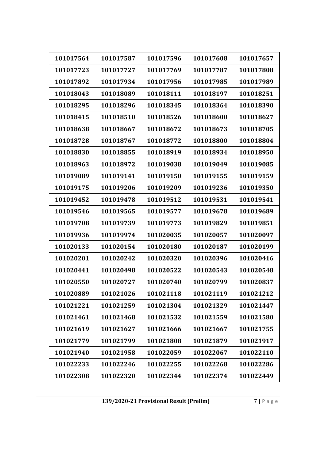| 101017564 | 101017587 | 101017596 | 101017608 | 101017657 |
|-----------|-----------|-----------|-----------|-----------|
| 101017723 | 101017727 | 101017769 | 101017787 | 101017808 |
| 101017892 | 101017934 | 101017956 | 101017985 | 101017989 |
| 101018043 | 101018089 | 101018111 | 101018197 | 101018251 |
| 101018295 | 101018296 | 101018345 | 101018364 | 101018390 |
| 101018415 | 101018510 | 101018526 | 101018600 | 101018627 |
| 101018638 | 101018667 | 101018672 | 101018673 | 101018705 |
| 101018728 | 101018767 | 101018772 | 101018800 | 101018804 |
| 101018830 | 101018855 | 101018919 | 101018934 | 101018950 |
| 101018963 | 101018972 | 101019038 | 101019049 | 101019085 |
| 101019089 | 101019141 | 101019150 | 101019155 | 101019159 |
| 101019175 | 101019206 | 101019209 | 101019236 | 101019350 |
| 101019452 | 101019478 | 101019512 | 101019531 | 101019541 |
| 101019546 | 101019565 | 101019577 | 101019678 | 101019689 |
| 101019708 | 101019739 | 101019773 | 101019829 | 101019851 |
| 101019936 | 101019974 | 101020035 | 101020057 | 101020097 |
| 101020133 | 101020154 | 101020180 | 101020187 | 101020199 |
| 101020201 | 101020242 | 101020320 | 101020396 | 101020416 |
| 101020441 | 101020498 | 101020522 | 101020543 | 101020548 |
| 101020550 | 101020727 | 101020740 | 101020799 | 101020837 |
| 101020889 | 101021026 | 101021118 | 101021119 | 101021212 |
| 101021221 | 101021259 | 101021304 | 101021329 | 101021447 |
| 101021461 | 101021468 | 101021532 | 101021559 | 101021580 |
| 101021619 | 101021627 | 101021666 | 101021667 | 101021755 |
| 101021779 | 101021799 | 101021808 | 101021879 | 101021917 |
| 101021940 | 101021958 | 101022059 | 101022067 | 101022110 |
| 101022233 | 101022246 | 101022255 | 101022268 | 101022286 |
| 101022308 | 101022320 | 101022344 | 101022374 | 101022449 |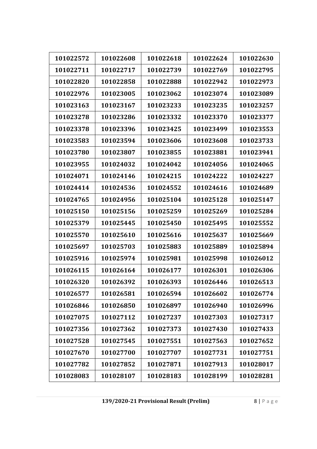| 101022572 | 101022608 | 101022618 | 101022624 | 101022630 |
|-----------|-----------|-----------|-----------|-----------|
| 101022711 | 101022717 | 101022739 | 101022769 | 101022795 |
| 101022820 | 101022858 | 101022888 | 101022942 | 101022973 |
| 101022976 | 101023005 | 101023062 | 101023074 | 101023089 |
| 101023163 | 101023167 | 101023233 | 101023235 | 101023257 |
| 101023278 | 101023286 | 101023332 | 101023370 | 101023377 |
| 101023378 | 101023396 | 101023425 | 101023499 | 101023553 |
| 101023583 | 101023594 | 101023606 | 101023608 | 101023733 |
| 101023780 | 101023807 | 101023855 | 101023881 | 101023941 |
| 101023955 | 101024032 | 101024042 | 101024056 | 101024065 |
| 101024071 | 101024146 | 101024215 | 101024222 | 101024227 |
| 101024414 | 101024536 | 101024552 | 101024616 | 101024689 |
| 101024765 | 101024956 | 101025104 | 101025128 | 101025147 |
| 101025150 | 101025156 | 101025259 | 101025269 | 101025284 |
| 101025379 | 101025445 | 101025450 | 101025495 | 101025552 |
| 101025570 | 101025610 | 101025616 | 101025637 | 101025669 |
| 101025697 | 101025703 | 101025883 | 101025889 | 101025894 |
| 101025916 | 101025974 | 101025981 | 101025998 | 101026012 |
| 101026115 | 101026164 | 101026177 | 101026301 | 101026306 |
| 101026320 | 101026392 | 101026393 | 101026446 | 101026513 |
| 101026577 | 101026581 | 101026594 | 101026602 | 101026774 |
| 101026846 | 101026850 | 101026897 | 101026940 | 101026996 |
| 101027075 | 101027112 | 101027237 | 101027303 | 101027317 |
| 101027356 | 101027362 | 101027373 | 101027430 | 101027433 |
| 101027528 | 101027545 | 101027551 | 101027563 | 101027652 |
| 101027670 | 101027700 | 101027707 | 101027731 | 101027751 |
| 101027782 | 101027852 | 101027871 | 101027913 | 101028017 |
| 101028083 | 101028107 | 101028183 | 101028199 | 101028281 |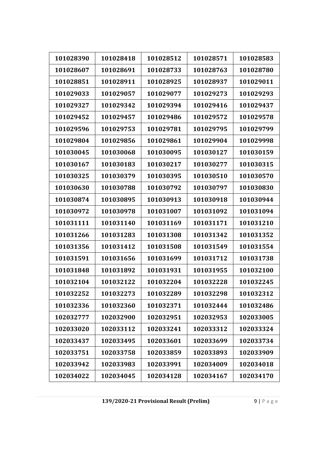| 101028390 | 101028418 | 101028512 | 101028571 | 101028583 |
|-----------|-----------|-----------|-----------|-----------|
| 101028607 | 101028691 | 101028733 | 101028763 | 101028780 |
| 101028851 | 101028911 | 101028925 | 101028937 | 101029011 |
| 101029033 | 101029057 | 101029077 | 101029273 | 101029293 |
| 101029327 | 101029342 | 101029394 | 101029416 | 101029437 |
| 101029452 | 101029457 | 101029486 | 101029572 | 101029578 |
| 101029596 | 101029753 | 101029781 | 101029795 | 101029799 |
| 101029804 | 101029856 | 101029861 | 101029904 | 101029998 |
| 101030045 | 101030068 | 101030095 | 101030127 | 101030159 |
| 101030167 | 101030183 | 101030217 | 101030277 | 101030315 |
| 101030325 | 101030379 | 101030395 | 101030510 | 101030570 |
| 101030630 | 101030788 | 101030792 | 101030797 | 101030830 |
| 101030874 | 101030895 | 101030913 | 101030918 | 101030944 |
| 101030972 | 101030978 | 101031007 | 101031092 | 101031094 |
| 101031111 | 101031140 | 101031169 | 101031171 | 101031210 |
| 101031266 | 101031283 | 101031308 | 101031342 | 101031352 |
| 101031356 | 101031412 | 101031508 | 101031549 | 101031554 |
| 101031591 | 101031656 | 101031699 | 101031712 | 101031738 |
| 101031848 | 101031892 | 101031931 | 101031955 | 101032100 |
| 101032104 | 101032122 | 101032204 | 101032228 | 101032245 |
| 101032252 | 101032273 | 101032289 | 101032298 | 101032312 |
| 101032336 | 101032360 | 101032371 | 101032444 | 101032486 |
| 102032777 | 102032900 | 102032951 | 102032953 | 102033005 |
| 102033020 | 102033112 | 102033241 | 102033312 | 102033324 |
| 102033437 | 102033495 | 102033601 | 102033699 | 102033734 |
| 102033751 | 102033758 | 102033859 | 102033893 | 102033909 |
| 102033942 | 102033983 | 102033991 | 102034009 | 102034018 |
| 102034022 | 102034045 | 102034128 | 102034167 | 102034170 |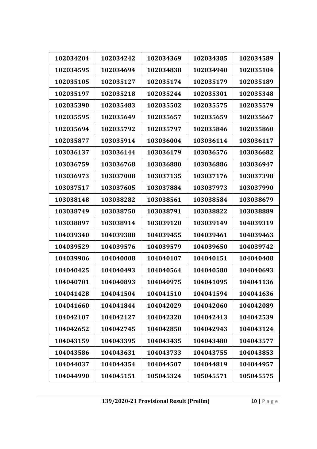| 102034204 | 102034242 | 102034369 | 102034385 | 102034589 |
|-----------|-----------|-----------|-----------|-----------|
| 102034595 | 102034694 | 102034838 | 102034940 | 102035104 |
| 102035105 | 102035127 | 102035174 | 102035179 | 102035189 |
| 102035197 | 102035218 | 102035244 | 102035301 | 102035348 |
| 102035390 | 102035483 | 102035502 | 102035575 | 102035579 |
| 102035595 | 102035649 | 102035657 | 102035659 | 102035667 |
| 102035694 | 102035792 | 102035797 | 102035846 | 102035860 |
| 102035877 | 103035914 | 103036004 | 103036114 | 103036117 |
| 103036137 | 103036144 | 103036179 | 103036576 | 103036682 |
| 103036759 | 103036768 | 103036880 | 103036886 | 103036947 |
| 103036973 | 103037008 | 103037135 | 103037176 | 103037398 |
| 103037517 | 103037605 | 103037884 | 103037973 | 103037990 |
| 103038148 | 103038282 | 103038561 | 103038584 | 103038679 |
| 103038749 | 103038750 | 103038791 | 103038822 | 103038889 |
| 103038897 | 103038914 | 103039120 | 103039149 | 104039319 |
| 104039340 | 104039388 | 104039455 | 104039461 | 104039463 |
| 104039529 | 104039576 | 104039579 | 104039650 | 104039742 |
| 104039906 | 104040008 | 104040107 | 104040151 | 104040408 |
| 104040425 | 104040493 | 104040564 | 104040580 | 104040693 |
| 104040701 | 104040893 | 104040975 | 104041095 | 104041136 |
| 104041428 | 104041504 | 104041510 | 104041594 | 104041636 |
| 104041660 | 104041844 | 104042029 | 104042060 | 104042089 |
| 104042107 | 104042127 | 104042320 | 104042413 | 104042539 |
| 104042652 | 104042745 | 104042850 | 104042943 | 104043124 |
| 104043159 | 104043395 | 104043435 | 104043480 | 104043577 |
| 104043586 | 104043631 | 104043733 | 104043755 | 104043853 |
| 104044037 | 104044354 | 104044507 | 104044819 | 104044957 |
| 104044990 | 104045151 | 105045324 | 105045571 | 105045575 |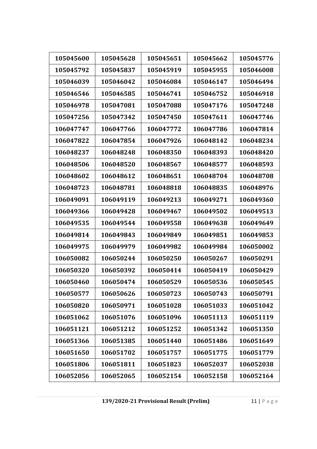| 105045600 |           | 105045651 |           | 105045776 |
|-----------|-----------|-----------|-----------|-----------|
|           | 105045628 |           | 105045662 |           |
| 105045792 | 105045837 | 105045919 | 105045955 | 105046008 |
| 105046039 | 105046042 | 105046084 | 105046147 | 105046494 |
| 105046546 | 105046585 | 105046741 | 105046752 | 105046918 |
| 105046978 | 105047081 | 105047088 | 105047176 | 105047248 |
| 105047256 | 105047342 | 105047450 | 105047611 | 106047746 |
| 106047747 | 106047766 | 106047772 | 106047786 | 106047814 |
| 106047822 | 106047854 | 106047926 | 106048142 | 106048234 |
| 106048237 | 106048248 | 106048350 | 106048393 | 106048420 |
| 106048506 | 106048520 | 106048567 | 106048577 | 106048593 |
| 106048602 | 106048612 | 106048651 | 106048704 | 106048708 |
| 106048723 | 106048781 | 106048818 | 106048835 | 106048976 |
| 106049091 | 106049119 | 106049213 | 106049271 | 106049360 |
| 106049366 | 106049428 | 106049467 | 106049502 | 106049513 |
| 106049535 | 106049544 | 106049558 | 106049638 | 106049649 |
| 106049814 | 106049843 | 106049849 | 106049851 | 106049853 |
| 106049975 | 106049979 | 106049982 | 106049984 | 106050002 |
| 106050082 | 106050244 | 106050250 | 106050267 | 106050291 |
| 106050320 | 106050392 | 106050414 | 106050419 | 106050429 |
| 106050460 | 106050474 | 106050529 | 106050536 | 106050545 |
| 106050577 | 106050626 | 106050723 | 106050743 | 106050791 |
| 106050820 | 106050971 | 106051028 | 106051033 | 106051042 |
| 106051062 | 106051076 | 106051096 | 106051113 | 106051119 |
| 106051121 | 106051212 | 106051252 | 106051342 | 106051350 |
| 106051366 | 106051385 | 106051440 | 106051486 | 106051649 |
| 106051650 | 106051702 | 106051757 | 106051775 | 106051779 |
| 106051806 | 106051811 | 106051823 | 106052037 | 106052038 |
| 106052056 | 106052065 | 106052154 | 106052158 | 106052164 |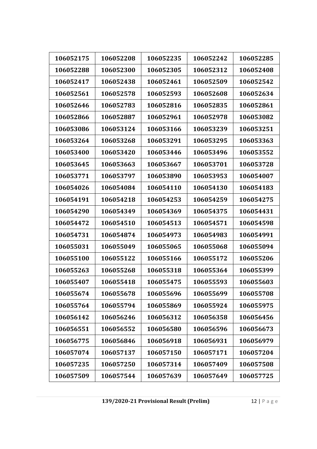| 106052175 | 106052208 | 106052235 | 106052242 | 106052285 |
|-----------|-----------|-----------|-----------|-----------|
| 106052288 | 106052300 | 106052305 | 106052312 | 106052408 |
| 106052417 | 106052438 | 106052461 | 106052509 | 106052542 |
| 106052561 | 106052578 | 106052593 | 106052608 | 106052634 |
| 106052646 | 106052783 | 106052816 | 106052835 | 106052861 |
| 106052866 | 106052887 | 106052961 | 106052978 | 106053082 |
| 106053086 | 106053124 | 106053166 | 106053239 | 106053251 |
| 106053264 | 106053268 | 106053291 | 106053295 | 106053363 |
| 106053400 | 106053420 | 106053446 | 106053496 | 106053552 |
| 106053645 | 106053663 | 106053667 | 106053701 | 106053728 |
| 106053771 | 106053797 | 106053890 | 106053953 | 106054007 |
| 106054026 | 106054084 | 106054110 | 106054130 | 106054183 |
| 106054191 | 106054218 | 106054253 | 106054259 | 106054275 |
| 106054290 | 106054349 | 106054369 | 106054375 | 106054431 |
| 106054472 | 106054510 | 106054513 | 106054571 | 106054598 |
| 106054731 | 106054874 | 106054973 | 106054983 | 106054991 |
| 106055031 | 106055049 | 106055065 | 106055068 | 106055094 |
| 106055100 | 106055122 | 106055166 | 106055172 | 106055206 |
| 106055263 | 106055268 | 106055318 | 106055364 | 106055399 |
| 106055407 | 106055418 | 106055475 | 106055593 | 106055603 |
| 106055674 | 106055678 | 106055696 | 106055699 | 106055708 |
| 106055764 | 106055794 | 106055869 | 106055924 | 106055975 |
| 106056142 | 106056246 | 106056312 | 106056358 | 106056456 |
| 106056551 | 106056552 | 106056580 | 106056596 | 106056673 |
| 106056775 | 106056846 | 106056918 | 106056931 | 106056979 |
| 106057074 | 106057137 | 106057150 | 106057171 | 106057204 |
| 106057235 | 106057250 | 106057314 | 106057409 | 106057508 |
| 106057509 | 106057544 | 106057639 | 106057649 | 106057725 |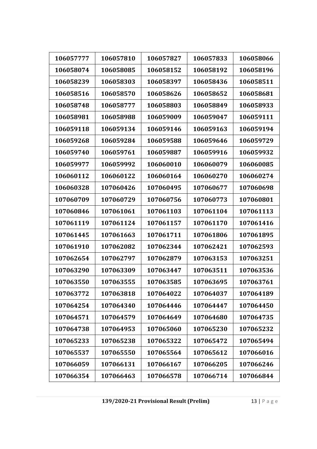| 106057777 | 106057810 | 106057827 | 106057833 | 106058066 |
|-----------|-----------|-----------|-----------|-----------|
| 106058074 | 106058085 | 106058152 | 106058192 | 106058196 |
| 106058239 | 106058303 | 106058397 | 106058436 | 106058511 |
| 106058516 | 106058570 | 106058626 | 106058652 | 106058681 |
| 106058748 | 106058777 | 106058803 | 106058849 | 106058933 |
| 106058981 | 106058988 | 106059009 | 106059047 | 106059111 |
| 106059118 | 106059134 | 106059146 | 106059163 | 106059194 |
| 106059268 | 106059284 | 106059588 | 106059646 | 106059729 |
| 106059740 | 106059761 | 106059887 | 106059916 | 106059932 |
| 106059977 | 106059992 | 106060010 | 106060079 | 106060085 |
| 106060112 | 106060122 | 106060164 | 106060270 | 106060274 |
| 106060328 | 107060426 | 107060495 | 107060677 | 107060698 |
| 107060709 | 107060729 | 107060756 | 107060773 | 107060801 |
| 107060846 | 107061061 | 107061103 | 107061104 | 107061113 |
| 107061119 | 107061124 | 107061157 | 107061170 | 107061416 |
| 107061445 | 107061663 | 107061711 | 107061806 | 107061895 |
| 107061910 | 107062082 | 107062344 | 107062421 | 107062593 |
| 107062654 | 107062797 | 107062879 | 107063153 | 107063251 |
| 107063290 | 107063309 | 107063447 | 107063511 | 107063536 |
| 107063550 | 107063555 | 107063585 | 107063695 | 107063761 |
| 107063772 | 107063818 | 107064022 | 107064037 | 107064189 |
| 107064254 | 107064340 | 107064446 | 107064447 | 107064450 |
| 107064571 | 107064579 | 107064649 | 107064680 | 107064735 |
| 107064738 | 107064953 | 107065060 | 107065230 | 107065232 |
| 107065233 | 107065238 | 107065322 | 107065472 | 107065494 |
| 107065537 | 107065550 | 107065564 | 107065612 | 107066016 |
| 107066059 | 107066131 | 107066167 | 107066205 | 107066246 |
| 107066354 | 107066463 | 107066578 | 107066714 | 107066844 |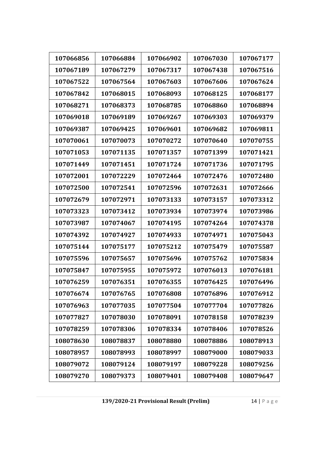| 107066856 | 107066884 | 107066902 | 107067030 | 107067177 |
|-----------|-----------|-----------|-----------|-----------|
| 107067189 | 107067279 | 107067317 | 107067438 | 107067516 |
| 107067522 | 107067564 | 107067603 | 107067606 | 107067624 |
| 107067842 | 107068015 | 107068093 | 107068125 | 107068177 |
| 107068271 | 107068373 | 107068785 | 107068860 | 107068894 |
| 107069018 | 107069189 | 107069267 | 107069303 | 107069379 |
| 107069387 | 107069425 | 107069601 | 107069682 | 107069811 |
| 107070061 | 107070073 | 107070272 | 107070640 | 107070755 |
| 107071053 | 107071135 | 107071357 | 107071399 | 107071421 |
| 107071449 | 107071451 | 107071724 | 107071736 | 107071795 |
| 107072001 | 107072229 | 107072464 | 107072476 | 107072480 |
| 107072500 | 107072541 | 107072596 | 107072631 | 107072666 |
| 107072679 | 107072971 | 107073133 | 107073157 | 107073312 |
| 107073323 | 107073412 | 107073934 | 107073974 | 107073986 |
| 107073987 | 107074067 | 107074195 | 107074264 | 107074378 |
| 107074392 | 107074927 | 107074933 | 107074971 | 107075043 |
| 107075144 | 107075177 | 107075212 | 107075479 | 107075587 |
| 107075596 | 107075657 | 107075696 | 107075762 | 107075834 |
| 107075847 | 107075955 | 107075972 | 107076013 | 107076181 |
| 107076259 | 107076351 | 107076355 | 107076425 | 107076496 |
| 107076674 | 107076765 | 107076808 | 107076896 | 107076912 |
| 107076963 | 107077035 | 107077504 | 107077704 | 107077826 |
| 107077827 | 107078030 | 107078091 | 107078158 | 107078239 |
| 107078259 | 107078306 | 107078334 | 107078406 | 107078526 |
| 108078630 | 108078837 | 108078880 | 108078886 | 108078913 |
| 108078957 | 108078993 | 108078997 | 108079000 | 108079033 |
| 108079072 | 108079124 | 108079197 | 108079228 | 108079256 |
| 108079270 | 108079373 | 108079401 | 108079408 | 108079647 |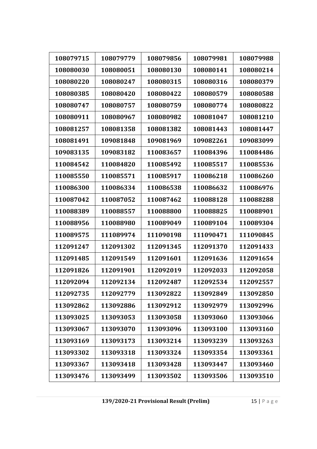| 108079715 | 108079779 | 108079856 | 108079981 | 108079988 |
|-----------|-----------|-----------|-----------|-----------|
| 108080030 | 108080051 | 108080130 | 108080141 | 108080214 |
| 108080220 | 108080247 | 108080315 | 108080316 | 108080379 |
| 108080385 | 108080420 | 108080422 | 108080579 | 108080588 |
| 108080747 | 108080757 | 108080759 | 108080774 | 108080822 |
| 108080911 | 108080967 | 108080982 | 108081047 | 108081210 |
| 108081257 | 108081358 | 108081382 | 108081443 | 108081447 |
| 108081491 | 109081848 | 109081969 | 109082261 | 109083099 |
| 109083135 | 109083182 | 110083657 | 110084396 | 110084486 |
| 110084542 | 110084820 | 110085492 | 110085517 | 110085536 |
| 110085550 | 110085571 | 110085917 | 110086218 | 110086260 |
| 110086300 | 110086334 | 110086538 | 110086632 | 110086976 |
| 110087042 | 110087052 | 110087462 | 110088128 | 110088288 |
| 110088389 | 110088557 | 110088800 | 110088825 | 110088901 |
| 110088956 | 110088980 | 110089049 | 110089104 | 110089304 |
| 110089575 | 111089974 | 111090198 | 111090471 | 111090845 |
| 112091247 | 112091302 | 112091345 | 112091370 | 112091433 |
| 112091485 | 112091549 | 112091601 | 112091636 | 112091654 |
| 112091826 | 112091901 | 112092019 | 112092033 | 112092058 |
| 112092094 | 112092134 | 112092487 | 112092534 | 112092557 |
| 112092735 | 112092779 | 113092822 | 113092849 | 113092850 |
| 113092862 | 113092886 | 113092912 | 113092979 | 113092996 |
| 113093025 | 113093053 | 113093058 | 113093060 | 113093066 |
| 113093067 | 113093070 | 113093096 | 113093100 | 113093160 |
| 113093169 | 113093173 | 113093214 | 113093239 | 113093263 |
| 113093302 | 113093318 | 113093324 | 113093354 | 113093361 |
| 113093367 | 113093418 | 113093428 | 113093447 | 113093460 |
| 113093476 | 113093499 | 113093502 | 113093506 | 113093510 |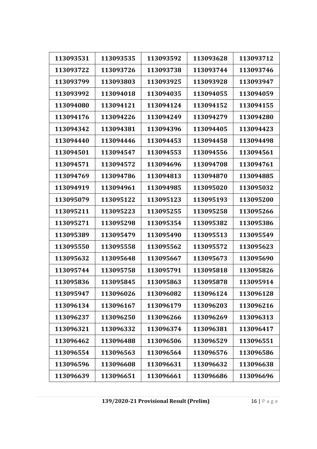| 113093531 | 113093535 | 113093592 | 113093628 | 113093712 |
|-----------|-----------|-----------|-----------|-----------|
| 113093722 | 113093726 | 113093738 | 113093744 | 113093746 |
| 113093799 | 113093803 | 113093925 | 113093928 | 113093947 |
| 113093992 | 113094018 | 113094035 | 113094055 | 113094059 |
| 113094080 | 113094121 | 113094124 | 113094152 | 113094155 |
| 113094176 | 113094226 | 113094249 | 113094279 | 113094280 |
| 113094342 | 113094381 | 113094396 | 113094405 | 113094423 |
| 113094440 | 113094446 | 113094453 | 113094458 | 113094498 |
| 113094501 | 113094547 | 113094553 | 113094556 | 113094561 |
| 113094571 | 113094572 | 113094696 | 113094708 | 113094761 |
| 113094769 | 113094786 | 113094813 | 113094870 | 113094885 |
| 113094919 | 113094961 | 113094985 | 113095020 | 113095032 |
| 113095079 | 113095122 | 113095123 | 113095193 | 113095200 |
| 113095211 | 113095223 | 113095255 | 113095258 | 113095266 |
| 113095271 | 113095298 | 113095354 | 113095382 | 113095386 |
| 113095389 | 113095479 | 113095490 | 113095513 | 113095549 |
| 113095550 | 113095558 | 113095562 | 113095572 | 113095623 |
| 113095632 | 113095648 | 113095667 | 113095673 | 113095690 |
| 113095744 | 113095758 | 113095791 | 113095818 | 113095826 |
| 113095836 | 113095845 | 113095863 | 113095878 | 113095914 |
| 113095947 | 113096026 | 113096082 | 113096124 | 113096128 |
| 113096134 | 113096167 | 113096179 | 113096203 | 113096216 |
| 113096237 | 113096250 | 113096266 | 113096269 | 113096313 |
| 113096321 | 113096332 | 113096374 | 113096381 | 113096417 |
| 113096462 | 113096488 | 113096506 | 113096529 | 113096551 |
| 113096554 | 113096563 | 113096564 | 113096576 | 113096586 |
| 113096596 | 113096608 | 113096631 | 113096632 | 113096638 |
| 113096639 | 113096651 | 113096661 | 113096686 | 113096696 |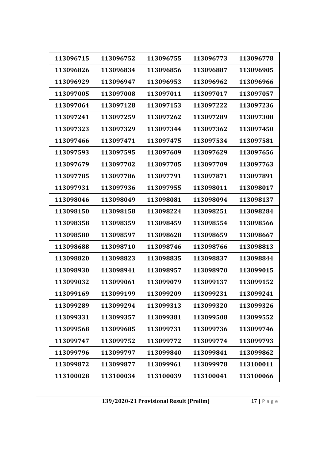| 113096715 | 113096752 | 113096755 | 113096773 | 113096778 |
|-----------|-----------|-----------|-----------|-----------|
| 113096826 | 113096834 | 113096856 | 113096887 | 113096905 |
| 113096929 | 113096947 | 113096953 | 113096962 | 113096966 |
| 113097005 | 113097008 | 113097011 | 113097017 | 113097057 |
| 113097064 | 113097128 | 113097153 | 113097222 | 113097236 |
| 113097241 | 113097259 | 113097262 | 113097289 | 113097308 |
| 113097323 | 113097329 | 113097344 | 113097362 | 113097450 |
| 113097466 | 113097471 | 113097475 | 113097534 | 113097581 |
| 113097593 | 113097595 | 113097609 | 113097629 | 113097656 |
| 113097679 | 113097702 | 113097705 | 113097709 | 113097763 |
| 113097785 | 113097786 | 113097791 | 113097871 | 113097891 |
| 113097931 | 113097936 | 113097955 | 113098011 | 113098017 |
| 113098046 | 113098049 | 113098081 | 113098094 | 113098137 |
| 113098150 | 113098158 | 113098224 | 113098251 | 113098284 |
| 113098358 | 113098359 | 113098459 | 113098554 | 113098566 |
| 113098580 | 113098597 | 113098628 | 113098659 | 113098667 |
| 113098688 | 113098710 | 113098746 | 113098766 | 113098813 |
| 113098820 | 113098823 | 113098835 | 113098837 | 113098844 |
| 113098930 | 113098941 | 113098957 | 113098970 | 113099015 |
| 113099032 | 113099061 | 113099079 | 113099137 | 113099152 |
| 113099169 | 113099199 | 113099209 | 113099231 | 113099241 |
| 113099289 | 113099294 | 113099313 | 113099320 | 113099326 |
| 113099331 | 113099357 | 113099381 | 113099508 | 113099552 |
| 113099568 | 113099685 | 113099731 | 113099736 | 113099746 |
| 113099747 | 113099752 | 113099772 | 113099774 | 113099793 |
| 113099796 | 113099797 | 113099840 | 113099841 | 113099862 |
| 113099872 | 113099877 | 113099961 | 113099978 | 113100011 |
| 113100028 | 113100034 | 113100039 | 113100041 | 113100066 |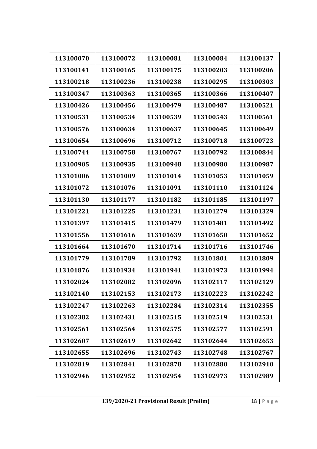| 113100070 | 113100072 | 113100081 | 113100084 | 113100137 |
|-----------|-----------|-----------|-----------|-----------|
| 113100141 | 113100165 | 113100175 | 113100203 | 113100206 |
| 113100218 | 113100236 | 113100238 | 113100295 | 113100303 |
| 113100347 | 113100363 | 113100365 | 113100366 | 113100407 |
| 113100426 | 113100456 | 113100479 | 113100487 | 113100521 |
| 113100531 | 113100534 | 113100539 | 113100543 | 113100561 |
| 113100576 | 113100634 | 113100637 | 113100645 | 113100649 |
| 113100654 | 113100696 | 113100712 | 113100718 | 113100723 |
| 113100744 | 113100758 | 113100767 | 113100792 | 113100844 |
| 113100905 | 113100935 | 113100948 | 113100980 | 113100987 |
| 113101006 | 113101009 | 113101014 | 113101053 | 113101059 |
| 113101072 | 113101076 | 113101091 | 113101110 | 113101124 |
| 113101130 | 113101177 | 113101182 | 113101185 | 113101197 |
| 113101221 | 113101225 | 113101231 | 113101279 | 113101329 |
| 113101397 | 113101415 | 113101479 | 113101481 | 113101492 |
| 113101556 | 113101616 | 113101639 | 113101650 | 113101652 |
| 113101664 | 113101670 | 113101714 | 113101716 | 113101746 |
| 113101779 | 113101789 | 113101792 | 113101801 | 113101809 |
| 113101876 | 113101934 | 113101941 | 113101973 | 113101994 |
| 113102024 | 113102082 | 113102096 | 113102117 | 113102129 |
| 113102140 | 113102153 | 113102173 | 113102223 | 113102242 |
| 113102247 | 113102263 | 113102284 | 113102314 | 113102355 |
| 113102382 | 113102431 | 113102515 | 113102519 | 113102531 |
| 113102561 | 113102564 | 113102575 | 113102577 | 113102591 |
| 113102607 | 113102619 | 113102642 | 113102644 | 113102653 |
| 113102655 | 113102696 | 113102743 | 113102748 | 113102767 |
| 113102819 | 113102841 | 113102878 | 113102880 | 113102910 |
| 113102946 | 113102952 | 113102954 | 113102973 | 113102989 |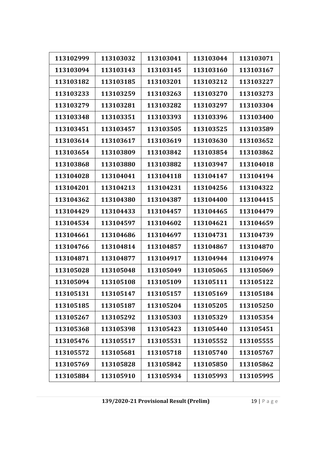| 113102999 | 113103032 | 113103041 | 113103044 | 113103071 |
|-----------|-----------|-----------|-----------|-----------|
| 113103094 | 113103143 | 113103145 | 113103160 | 113103167 |
| 113103182 | 113103185 | 113103201 | 113103212 | 113103227 |
| 113103233 | 113103259 | 113103263 | 113103270 | 113103273 |
| 113103279 | 113103281 | 113103282 | 113103297 | 113103304 |
| 113103348 | 113103351 | 113103393 | 113103396 | 113103400 |
| 113103451 | 113103457 | 113103505 | 113103525 | 113103589 |
| 113103614 | 113103617 | 113103619 | 113103630 | 113103652 |
| 113103654 | 113103809 | 113103842 | 113103854 | 113103862 |
| 113103868 | 113103880 | 113103882 | 113103947 | 113104018 |
| 113104028 | 113104041 | 113104118 | 113104147 | 113104194 |
| 113104201 | 113104213 | 113104231 | 113104256 | 113104322 |
| 113104362 | 113104380 | 113104387 | 113104400 | 113104415 |
| 113104429 | 113104433 | 113104457 | 113104465 | 113104479 |
| 113104534 | 113104597 | 113104602 | 113104621 | 113104659 |
| 113104661 | 113104686 | 113104697 | 113104731 | 113104739 |
| 113104766 | 113104814 | 113104857 | 113104867 | 113104870 |
| 113104871 | 113104877 | 113104917 | 113104944 | 113104974 |
| 113105028 | 113105048 | 113105049 | 113105065 | 113105069 |
| 113105094 | 113105108 | 113105109 | 113105111 | 113105122 |
| 113105131 | 113105147 | 113105157 | 113105169 | 113105184 |
| 113105185 | 113105187 | 113105204 | 113105205 | 113105250 |
| 113105267 | 113105292 | 113105303 | 113105329 | 113105354 |
| 113105368 | 113105398 | 113105423 | 113105440 | 113105451 |
| 113105476 | 113105517 | 113105531 | 113105552 | 113105555 |
| 113105572 | 113105681 | 113105718 | 113105740 | 113105767 |
| 113105769 | 113105828 | 113105842 | 113105850 | 113105862 |
| 113105884 | 113105910 | 113105934 | 113105993 | 113105995 |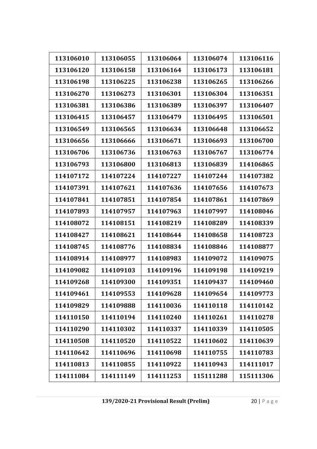| 113106010 | 113106055 | 113106064 | 113106074 | 113106116 |
|-----------|-----------|-----------|-----------|-----------|
| 113106120 | 113106158 | 113106164 | 113106173 | 113106181 |
| 113106198 | 113106225 | 113106238 | 113106265 | 113106266 |
|           |           |           |           |           |
| 113106270 | 113106273 | 113106301 | 113106304 | 113106351 |
| 113106381 | 113106386 | 113106389 | 113106397 | 113106407 |
| 113106415 | 113106457 | 113106479 | 113106495 | 113106501 |
| 113106549 | 113106565 | 113106634 | 113106648 | 113106652 |
| 113106656 | 113106666 | 113106671 | 113106693 | 113106700 |
| 113106706 | 113106736 | 113106763 | 113106767 | 113106774 |
| 113106793 | 113106800 | 113106813 | 113106839 | 114106865 |
| 114107172 | 114107224 | 114107227 | 114107244 | 114107382 |
| 114107391 | 114107621 | 114107636 | 114107656 | 114107673 |
| 114107841 | 114107851 | 114107854 | 114107861 | 114107869 |
| 114107893 | 114107957 | 114107963 | 114107997 | 114108046 |
| 114108072 | 114108151 | 114108219 | 114108289 | 114108339 |
| 114108427 | 114108621 | 114108644 | 114108658 | 114108723 |
| 114108745 | 114108776 | 114108834 | 114108846 | 114108877 |
| 114108914 | 114108977 | 114108983 | 114109072 | 114109075 |
| 114109082 | 114109103 | 114109196 | 114109198 | 114109219 |
| 114109268 | 114109300 | 114109351 | 114109437 | 114109460 |
| 114109461 | 114109553 | 114109628 | 114109654 | 114109773 |
| 114109829 | 114109888 | 114110036 | 114110118 | 114110142 |
| 114110150 | 114110194 | 114110240 | 114110261 | 114110278 |
| 114110290 | 114110302 | 114110337 | 114110339 | 114110505 |
| 114110508 | 114110520 | 114110522 | 114110602 | 114110639 |
| 114110642 | 114110696 | 114110698 | 114110755 | 114110783 |
| 114110813 | 114110855 | 114110922 | 114110943 | 114111017 |
| 114111084 | 114111149 | 114111253 | 115111288 | 115111306 |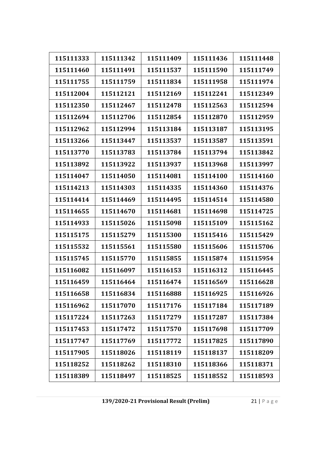| 115111333 | 115111342 | 115111409 | 115111436 | 115111448 |
|-----------|-----------|-----------|-----------|-----------|
| 115111460 | 115111491 | 115111537 | 115111590 | 115111749 |
| 115111755 | 115111759 | 115111834 | 115111958 | 115111974 |
| 115112004 | 115112121 | 115112169 | 115112241 | 115112349 |
| 115112350 | 115112467 | 115112478 | 115112563 | 115112594 |
| 115112694 | 115112706 | 115112854 | 115112870 | 115112959 |
| 115112962 | 115112994 | 115113184 | 115113187 | 115113195 |
| 115113266 | 115113447 | 115113537 | 115113587 | 115113591 |
| 115113770 | 115113783 | 115113784 | 115113794 | 115113842 |
| 115113892 | 115113922 | 115113937 | 115113968 | 115113997 |
| 115114047 | 115114050 | 115114081 | 115114100 | 115114160 |
| 115114213 | 115114303 | 115114335 | 115114360 | 115114376 |
| 115114414 | 115114469 | 115114495 | 115114514 | 115114580 |
| 115114655 | 115114670 | 115114681 | 115114698 | 115114725 |
| 115114933 | 115115026 | 115115098 | 115115109 | 115115162 |
| 115115175 | 115115279 | 115115300 | 115115416 | 115115429 |
| 115115532 | 115115561 | 115115580 | 115115606 | 115115706 |
| 115115745 | 115115770 | 115115855 | 115115874 | 115115954 |
| 115116082 | 115116097 | 115116153 | 115116312 | 115116445 |
| 115116459 | 115116464 | 115116474 | 115116569 | 115116628 |
| 115116658 | 115116834 | 115116888 | 115116925 | 115116926 |
| 115116962 | 115117070 | 115117176 | 115117184 | 115117189 |
| 115117224 | 115117263 | 115117279 | 115117287 | 115117384 |
| 115117453 | 115117472 | 115117570 | 115117698 | 115117709 |
| 115117747 | 115117769 | 115117772 | 115117825 | 115117890 |
| 115117905 | 115118026 | 115118119 | 115118137 | 115118209 |
| 115118252 | 115118262 | 115118310 | 115118366 | 115118371 |
| 115118389 | 115118497 | 115118525 | 115118552 | 115118593 |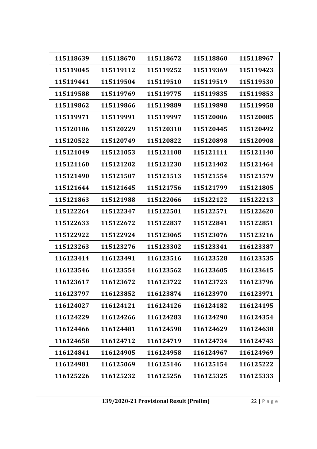| 115118639 | 115118670 | 115118672 | 115118860 | 115118967 |
|-----------|-----------|-----------|-----------|-----------|
| 115119045 | 115119112 | 115119252 | 115119369 | 115119423 |
| 115119441 | 115119504 | 115119510 | 115119519 | 115119530 |
| 115119588 | 115119769 | 115119775 | 115119835 | 115119853 |
| 115119862 | 115119866 | 115119889 | 115119898 | 115119958 |
| 115119971 | 115119991 | 115119997 | 115120006 | 115120085 |
| 115120186 | 115120229 | 115120310 | 115120445 | 115120492 |
| 115120522 | 115120749 | 115120822 | 115120898 | 115120908 |
| 115121049 | 115121053 | 115121108 | 115121111 | 115121140 |
| 115121160 | 115121202 | 115121230 | 115121402 | 115121464 |
| 115121490 | 115121507 | 115121513 | 115121554 | 115121579 |
| 115121644 | 115121645 | 115121756 | 115121799 | 115121805 |
| 115121863 | 115121988 | 115122066 | 115122122 | 115122213 |
| 115122264 | 115122347 | 115122501 | 115122571 | 115122620 |
| 115122633 | 115122672 | 115122837 | 115122841 | 115122851 |
| 115122922 | 115122924 | 115123065 | 115123076 | 115123216 |
| 115123263 | 115123276 | 115123302 | 115123341 | 116123387 |
| 116123414 | 116123491 | 116123516 | 116123528 | 116123535 |
| 116123546 | 116123554 | 116123562 | 116123605 | 116123615 |
| 116123617 | 116123672 | 116123722 | 116123723 | 116123796 |
| 116123797 | 116123852 | 116123874 | 116123970 | 116123971 |
| 116124027 | 116124121 | 116124126 | 116124182 | 116124195 |
| 116124229 | 116124266 | 116124283 | 116124290 | 116124354 |
| 116124466 | 116124481 | 116124598 | 116124629 | 116124638 |
| 116124658 | 116124712 | 116124719 | 116124734 | 116124743 |
| 116124841 | 116124905 | 116124958 | 116124967 | 116124969 |
| 116124981 | 116125069 | 116125146 | 116125154 | 116125222 |
| 116125226 | 116125232 | 116125256 | 116125325 | 116125333 |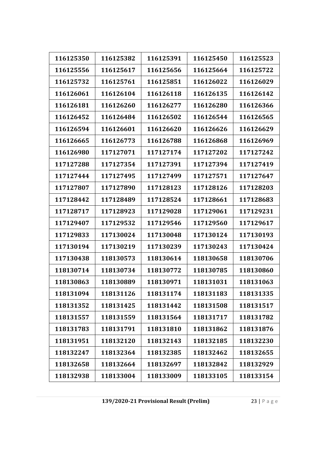| 116125350 | 116125382 | 116125391 | 116125450 | 116125523 |
|-----------|-----------|-----------|-----------|-----------|
| 116125556 | 116125617 | 116125656 | 116125664 | 116125722 |
| 116125732 | 116125761 | 116125851 | 116126022 | 116126029 |
| 116126061 | 116126104 | 116126118 | 116126135 | 116126142 |
| 116126181 | 116126260 | 116126277 | 116126280 | 116126366 |
| 116126452 | 116126484 | 116126502 | 116126544 | 116126565 |
| 116126594 | 116126601 | 116126620 | 116126626 | 116126629 |
| 116126665 | 116126773 | 116126788 | 116126868 | 116126969 |
| 116126980 | 117127071 | 117127174 | 117127202 | 117127242 |
| 117127288 | 117127354 | 117127391 | 117127394 | 117127419 |
| 117127444 | 117127495 | 117127499 | 117127571 | 117127647 |
| 117127807 | 117127890 | 117128123 | 117128126 | 117128203 |
| 117128442 | 117128489 | 117128524 | 117128661 | 117128683 |
| 117128717 | 117128923 | 117129028 | 117129061 | 117129231 |
| 117129407 | 117129532 | 117129546 | 117129560 | 117129617 |
| 117129833 | 117130024 | 117130048 | 117130124 | 117130193 |
| 117130194 | 117130219 | 117130239 | 117130243 | 117130424 |
| 117130438 | 118130573 | 118130614 | 118130658 | 118130706 |
| 118130714 | 118130734 | 118130772 | 118130785 | 118130860 |
| 118130863 | 118130889 | 118130971 | 118131031 | 118131063 |
| 118131094 | 118131126 | 118131174 | 118131183 | 118131335 |
| 118131352 | 118131425 | 118131442 | 118131508 | 118131517 |
| 118131557 | 118131559 | 118131564 | 118131717 | 118131782 |
| 118131783 | 118131791 | 118131810 | 118131862 | 118131876 |
| 118131951 | 118132120 | 118132143 | 118132185 | 118132230 |
| 118132247 | 118132364 | 118132385 | 118132462 | 118132655 |
| 118132658 | 118132664 | 118132697 | 118132842 | 118132929 |
| 118132938 | 118133004 | 118133009 | 118133105 | 118133154 |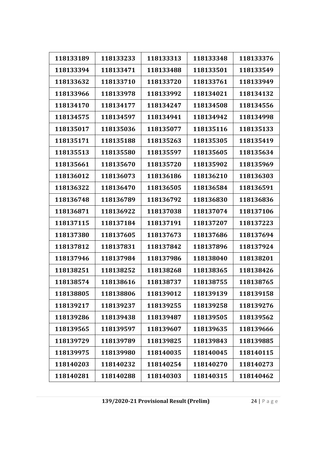| 118133189 | 118133233 | 118133313 | 118133348 | 118133376 |
|-----------|-----------|-----------|-----------|-----------|
| 118133394 | 118133471 | 118133488 | 118133501 | 118133549 |
| 118133632 | 118133710 | 118133720 | 118133761 | 118133949 |
| 118133966 | 118133978 | 118133992 | 118134021 | 118134132 |
| 118134170 | 118134177 | 118134247 | 118134508 | 118134556 |
| 118134575 | 118134597 | 118134941 | 118134942 | 118134998 |
| 118135017 | 118135036 | 118135077 | 118135116 | 118135133 |
| 118135171 | 118135188 | 118135263 | 118135305 | 118135419 |
| 118135513 | 118135580 | 118135597 | 118135605 | 118135634 |
| 118135661 | 118135670 | 118135720 | 118135902 | 118135969 |
| 118136012 | 118136073 | 118136186 | 118136210 | 118136303 |
| 118136322 | 118136470 | 118136505 | 118136584 | 118136591 |
| 118136748 | 118136789 | 118136792 | 118136830 | 118136836 |
| 118136871 | 118136922 | 118137038 | 118137074 | 118137106 |
| 118137115 | 118137184 | 118137191 | 118137207 | 118137223 |
| 118137380 | 118137605 | 118137673 | 118137686 | 118137694 |
| 118137812 | 118137831 | 118137842 | 118137896 | 118137924 |
| 118137946 | 118137984 | 118137986 | 118138040 | 118138201 |
| 118138251 | 118138252 | 118138268 | 118138365 | 118138426 |
| 118138574 | 118138616 | 118138737 | 118138755 | 118138765 |
| 118138805 | 118138806 | 118139012 | 118139139 | 118139158 |
| 118139217 | 118139237 | 118139255 | 118139258 | 118139276 |
| 118139286 | 118139438 | 118139487 | 118139505 | 118139562 |
| 118139565 | 118139597 | 118139607 | 118139635 | 118139666 |
| 118139729 | 118139789 | 118139825 | 118139843 | 118139885 |
| 118139975 | 118139980 | 118140035 | 118140045 | 118140115 |
| 118140203 | 118140232 | 118140254 | 118140270 | 118140273 |
| 118140281 | 118140288 | 118140303 | 118140315 | 118140462 |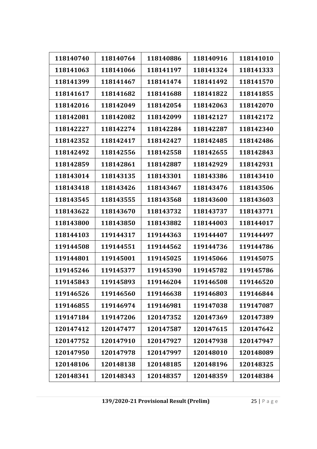| 118140740 | 118140764 | 118140886 | 118140916 | 118141010 |
|-----------|-----------|-----------|-----------|-----------|
| 118141063 | 118141066 | 118141197 | 118141324 | 118141333 |
| 118141399 | 118141467 | 118141474 | 118141492 | 118141570 |
| 118141617 | 118141682 | 118141688 | 118141822 | 118141855 |
| 118142016 | 118142049 | 118142054 | 118142063 | 118142070 |
| 118142081 | 118142082 | 118142099 | 118142127 | 118142172 |
| 118142227 | 118142274 | 118142284 | 118142287 | 118142340 |
| 118142352 | 118142417 | 118142427 | 118142485 | 118142486 |
| 118142492 | 118142556 | 118142558 | 118142655 | 118142843 |
| 118142859 | 118142861 | 118142887 | 118142929 | 118142931 |
| 118143014 | 118143135 | 118143301 | 118143386 | 118143410 |
| 118143418 | 118143426 | 118143467 | 118143476 | 118143506 |
| 118143545 | 118143555 | 118143568 | 118143600 | 118143603 |
| 118143622 | 118143670 | 118143732 | 118143737 | 118143771 |
| 118143800 | 118143850 | 118143882 | 118144003 | 118144017 |
| 118144103 | 119144317 | 119144363 | 119144407 | 119144497 |
| 119144508 | 119144551 | 119144562 | 119144736 | 119144786 |
| 119144801 | 119145001 | 119145025 | 119145066 | 119145075 |
| 119145246 | 119145377 | 119145390 | 119145782 | 119145786 |
| 119145843 | 119145893 | 119146204 | 119146508 | 119146520 |
| 119146526 | 119146560 | 119146638 | 119146803 | 119146844 |
| 119146855 | 119146974 | 119146981 | 119147038 | 119147087 |
| 119147184 | 119147206 | 120147352 | 120147369 | 120147389 |
| 120147412 | 120147477 | 120147587 | 120147615 | 120147642 |
|           |           | 120147927 |           |           |
| 120147752 | 120147910 |           | 120147938 | 120147947 |
| 120147950 | 120147978 | 120147997 | 120148010 | 120148089 |
| 120148106 | 120148138 | 120148185 | 120148196 | 120148325 |
| 120148341 | 120148343 | 120148357 | 120148359 | 120148384 |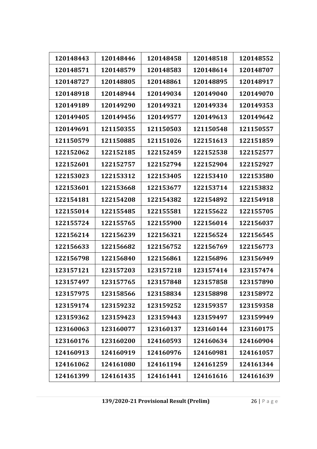| 120148443 | 120148446 | 120148458 | 120148518 | 120148552 |
|-----------|-----------|-----------|-----------|-----------|
| 120148571 | 120148579 | 120148583 | 120148614 | 120148707 |
| 120148727 | 120148805 | 120148861 | 120148895 | 120148917 |
| 120148918 | 120148944 | 120149034 | 120149040 | 120149070 |
| 120149189 | 120149290 | 120149321 | 120149334 | 120149353 |
| 120149405 | 120149456 | 120149577 | 120149613 | 120149642 |
| 120149691 | 121150355 | 121150503 | 121150548 | 121150557 |
| 121150579 | 121150885 | 121151026 | 122151613 | 122151859 |
| 122152062 | 122152185 | 122152459 | 122152538 | 122152577 |
| 122152601 | 122152757 | 122152794 | 122152904 | 122152927 |
| 122153023 | 122153312 | 122153405 | 122153410 | 122153580 |
| 122153601 | 122153668 | 122153677 | 122153714 | 122153832 |
| 122154181 | 122154208 | 122154382 | 122154892 | 122154918 |
| 122155014 | 122155485 | 122155581 | 122155622 | 122155705 |
| 122155724 | 122155765 | 122155900 | 122156014 | 122156037 |
| 122156214 | 122156239 | 122156321 | 122156524 | 122156545 |
| 122156633 | 122156682 | 122156752 | 122156769 | 122156773 |
| 122156798 | 122156840 | 122156861 | 122156896 | 123156949 |
| 123157121 | 123157203 | 123157218 | 123157414 | 123157474 |
| 123157497 | 123157765 | 123157848 | 123157858 | 123157890 |
| 123157975 | 123158566 | 123158834 | 123158898 | 123158972 |
| 123159174 | 123159232 | 123159252 | 123159357 | 123159358 |
| 123159362 | 123159423 | 123159443 | 123159497 | 123159949 |
| 123160063 | 123160077 | 123160137 | 123160144 | 123160175 |
| 123160176 | 123160200 | 124160593 | 124160634 | 124160904 |
| 124160913 | 124160919 | 124160976 | 124160981 | 124161057 |
| 124161062 | 124161080 | 124161194 | 124161259 | 124161344 |
| 124161399 | 124161435 | 124161441 | 124161616 | 124161639 |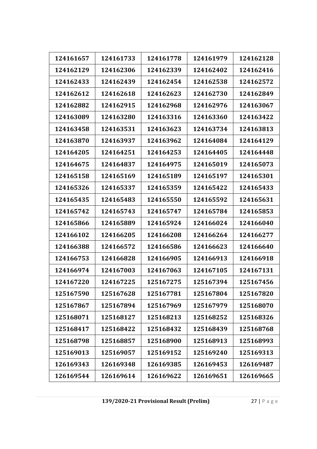| 124161657 | 124161733 | 124161778 | 124161979 | 124162128 |
|-----------|-----------|-----------|-----------|-----------|
| 124162129 | 124162306 | 124162339 | 124162402 | 124162416 |
| 124162433 | 124162439 | 124162454 | 124162538 | 124162572 |
| 124162612 | 124162618 | 124162623 | 124162730 | 124162849 |
| 124162882 | 124162915 | 124162968 | 124162976 | 124163067 |
| 124163089 | 124163280 | 124163316 | 124163360 | 124163422 |
| 124163458 | 124163531 | 124163623 | 124163734 | 124163813 |
| 124163870 | 124163937 | 124163962 | 124164084 | 124164129 |
| 124164205 | 124164251 | 124164253 | 124164405 | 124164448 |
| 124164675 | 124164837 | 124164975 | 124165019 | 124165073 |
| 124165158 | 124165169 | 124165189 | 124165197 | 124165301 |
| 124165326 | 124165337 | 124165359 | 124165422 | 124165433 |
| 124165435 | 124165483 | 124165550 | 124165592 | 124165631 |
| 124165742 | 124165743 | 124165747 | 124165784 | 124165853 |
| 124165866 | 124165889 | 124165924 | 124166024 | 124166040 |
| 124166102 | 124166205 | 124166208 | 124166264 | 124166277 |
| 124166388 | 124166572 | 124166586 | 124166623 | 124166640 |
| 124166753 | 124166828 | 124166905 | 124166913 | 124166918 |
| 124166974 | 124167003 | 124167063 | 124167105 | 124167131 |
| 124167220 | 124167225 | 125167275 | 125167394 | 125167456 |
| 125167590 | 125167628 | 125167781 | 125167804 | 125167820 |
| 125167867 | 125167894 | 125167969 | 125167979 | 125168070 |
| 125168071 | 125168127 | 125168213 | 125168252 | 125168326 |
| 125168417 | 125168422 | 125168432 | 125168439 | 125168768 |
| 125168798 | 125168857 | 125168900 | 125168913 | 125168993 |
| 125169013 | 125169057 | 125169152 | 125169240 | 125169313 |
| 126169343 | 126169348 | 126169385 | 126169453 | 126169487 |
| 126169544 | 126169614 | 126169622 | 126169651 | 126169665 |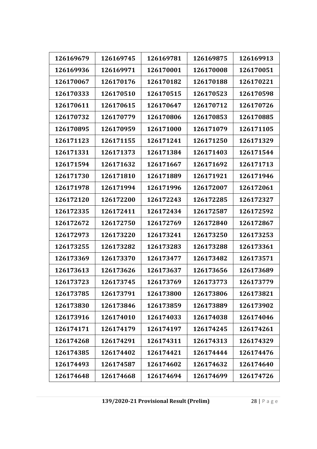| 126169679 | 126169745 | 126169781 | 126169875 | 126169913 |
|-----------|-----------|-----------|-----------|-----------|
| 126169936 | 126169971 | 126170001 | 126170008 | 126170051 |
| 126170067 | 126170176 | 126170182 | 126170188 | 126170221 |
| 126170333 | 126170510 | 126170515 | 126170523 | 126170598 |
| 126170611 | 126170615 | 126170647 | 126170712 | 126170726 |
| 126170732 | 126170779 | 126170806 | 126170853 | 126170885 |
| 126170895 | 126170959 | 126171000 | 126171079 | 126171105 |
| 126171123 | 126171155 | 126171241 | 126171250 | 126171329 |
| 126171331 | 126171373 | 126171384 | 126171403 | 126171544 |
| 126171594 | 126171632 | 126171667 | 126171692 | 126171713 |
| 126171730 | 126171810 | 126171889 | 126171921 | 126171946 |
| 126171978 | 126171994 | 126171996 | 126172007 | 126172061 |
| 126172120 | 126172200 | 126172243 | 126172285 | 126172327 |
| 126172335 | 126172411 | 126172434 | 126172587 | 126172592 |
| 126172672 | 126172750 | 126172769 | 126172840 | 126172867 |
| 126172973 | 126173220 | 126173241 | 126173250 | 126173253 |
| 126173255 | 126173282 | 126173283 | 126173288 | 126173361 |
| 126173369 | 126173370 | 126173477 | 126173482 | 126173571 |
| 126173613 | 126173626 | 126173637 | 126173656 | 126173689 |
| 126173723 | 126173745 | 126173769 | 126173773 | 126173779 |
| 126173785 | 126173791 | 126173800 | 126173806 | 126173821 |
| 126173830 | 126173846 | 126173859 | 126173889 | 126173902 |
| 126173916 | 126174010 | 126174033 | 126174038 | 126174046 |
| 126174171 | 126174179 | 126174197 | 126174245 | 126174261 |
| 126174268 | 126174291 | 126174311 | 126174313 | 126174329 |
| 126174385 | 126174402 | 126174421 | 126174444 | 126174476 |
| 126174493 | 126174587 | 126174602 | 126174632 | 126174640 |
| 126174648 | 126174668 | 126174694 | 126174699 | 126174726 |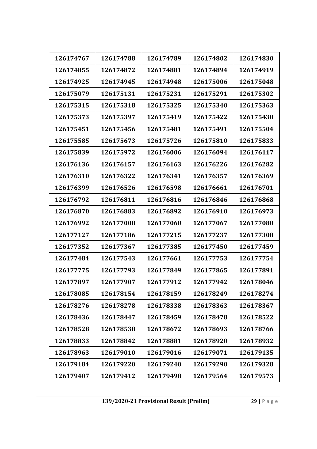| 126174767 | 126174788 | 126174789 | 126174802 | 126174830 |
|-----------|-----------|-----------|-----------|-----------|
| 126174855 | 126174872 | 126174881 | 126174894 | 126174919 |
| 126174925 | 126174945 | 126174948 | 126175006 | 126175048 |
| 126175079 | 126175131 | 126175231 | 126175291 | 126175302 |
| 126175315 | 126175318 | 126175325 | 126175340 | 126175363 |
| 126175373 | 126175397 | 126175419 | 126175422 | 126175430 |
| 126175451 | 126175456 | 126175481 | 126175491 | 126175504 |
| 126175585 | 126175673 | 126175726 | 126175810 | 126175833 |
| 126175839 | 126175972 | 126176006 | 126176094 | 126176117 |
| 126176136 | 126176157 | 126176163 | 126176226 | 126176282 |
| 126176310 | 126176322 | 126176341 | 126176357 | 126176369 |
| 126176399 | 126176526 | 126176598 | 126176661 | 126176701 |
| 126176792 | 126176811 | 126176816 | 126176846 | 126176868 |
| 126176870 | 126176883 | 126176892 | 126176910 | 126176973 |
| 126176992 | 126177008 | 126177060 | 126177067 | 126177080 |
| 126177127 | 126177186 | 126177215 | 126177237 | 126177308 |
| 126177352 | 126177367 | 126177385 | 126177450 | 126177459 |
| 126177484 | 126177543 | 126177661 | 126177753 | 126177754 |
| 126177775 | 126177793 | 126177849 | 126177865 | 126177891 |
| 126177897 | 126177907 | 126177912 | 126177942 | 126178046 |
| 126178085 | 126178154 | 126178159 | 126178249 | 126178274 |
| 126178276 | 126178278 | 126178338 | 126178363 | 126178367 |
| 126178436 | 126178447 | 126178459 | 126178478 | 126178522 |
| 126178528 | 126178538 | 126178672 | 126178693 | 126178766 |
| 126178833 | 126178842 | 126178881 | 126178920 | 126178932 |
| 126178963 | 126179010 | 126179016 | 126179071 | 126179135 |
| 126179184 | 126179220 | 126179240 | 126179290 | 126179328 |
| 126179407 | 126179412 | 126179498 | 126179564 | 126179573 |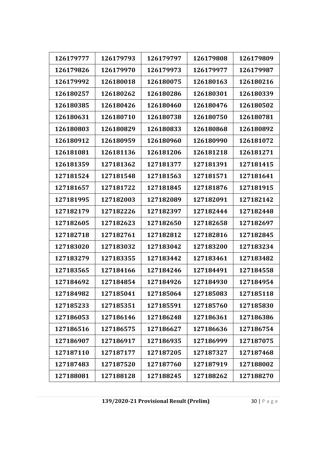| 126179777 | 126179793 | 126179797 | 126179808 | 126179809 |
|-----------|-----------|-----------|-----------|-----------|
| 126179826 | 126179970 | 126179973 | 126179977 | 126179987 |
| 126179992 | 126180018 | 126180075 | 126180163 | 126180216 |
| 126180257 | 126180262 | 126180286 | 126180301 | 126180339 |
| 126180385 | 126180426 | 126180460 | 126180476 | 126180502 |
| 126180631 | 126180710 | 126180738 | 126180750 | 126180781 |
| 126180803 | 126180829 | 126180833 | 126180868 | 126180892 |
| 126180912 | 126180959 | 126180960 | 126180990 | 126181072 |
| 126181081 | 126181136 | 126181206 | 126181218 | 126181271 |
| 126181359 | 127181362 | 127181377 | 127181391 | 127181415 |
| 127181524 | 127181548 | 127181563 | 127181571 | 127181641 |
| 127181657 | 127181722 | 127181845 | 127181876 | 127181915 |
| 127181995 | 127182003 | 127182089 | 127182091 | 127182142 |
| 127182179 | 127182226 | 127182397 | 127182444 | 127182448 |
| 127182605 | 127182623 | 127182650 | 127182658 | 127182697 |
| 127182718 | 127182761 | 127182812 | 127182816 | 127182845 |
| 127183020 | 127183032 | 127183042 | 127183200 | 127183234 |
| 127183279 | 127183355 | 127183442 | 127183461 | 127183482 |
| 127183565 | 127184166 | 127184246 | 127184491 | 127184558 |
| 127184692 | 127184854 | 127184926 | 127184930 | 127184954 |
| 127184982 | 127185041 | 127185064 | 127185083 | 127185118 |
| 127185233 | 127185351 | 127185591 | 127185760 | 127185830 |
| 127186053 | 127186146 | 127186248 | 127186361 | 127186386 |
| 127186516 | 127186575 | 127186627 | 127186636 | 127186754 |
| 127186907 | 127186917 | 127186935 | 127186999 | 127187075 |
| 127187110 | 127187177 | 127187205 | 127187327 | 127187468 |
| 127187483 | 127187520 | 127187760 | 127187919 | 127188002 |
| 127188081 | 127188128 | 127188245 | 127188262 | 127188270 |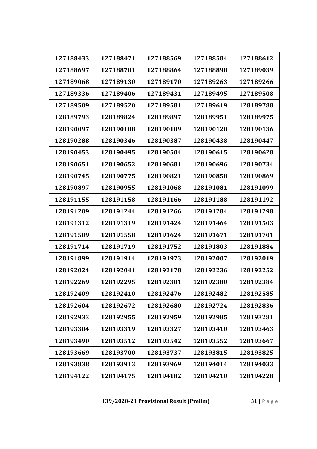| 127188433 | 127188471 | 127188569 | 127188584 | 127188612 |
|-----------|-----------|-----------|-----------|-----------|
|           |           |           |           |           |
| 127188697 | 127188701 | 127188864 | 127188898 | 127189039 |
| 127189068 | 127189130 | 127189170 | 127189263 | 127189266 |
| 127189336 | 127189406 | 127189431 | 127189495 | 127189508 |
| 127189509 | 127189520 | 127189581 | 127189619 | 128189788 |
| 128189793 | 128189824 | 128189897 | 128189951 | 128189975 |
| 128190097 | 128190108 | 128190109 | 128190120 | 128190136 |
| 128190288 | 128190346 | 128190387 | 128190438 | 128190447 |
| 128190453 | 128190495 | 128190504 | 128190615 | 128190628 |
| 128190651 | 128190652 | 128190681 | 128190696 | 128190734 |
| 128190745 | 128190775 | 128190821 | 128190858 | 128190869 |
| 128190897 | 128190955 | 128191068 | 128191081 | 128191099 |
| 128191155 | 128191158 | 128191166 | 128191188 | 128191192 |
| 128191209 | 128191244 | 128191266 | 128191284 | 128191298 |
| 128191312 | 128191319 | 128191424 | 128191464 | 128191503 |
| 128191509 | 128191558 | 128191624 | 128191671 | 128191701 |
| 128191714 | 128191719 | 128191752 | 128191803 | 128191884 |
| 128191899 | 128191914 | 128191973 | 128192007 | 128192019 |
| 128192024 | 128192041 | 128192178 | 128192236 | 128192252 |
| 128192269 | 128192295 | 128192301 | 128192380 | 128192384 |
| 128192409 | 128192410 | 128192476 | 128192482 | 128192585 |
| 128192604 | 128192672 | 128192680 | 128192724 | 128192836 |
| 128192933 | 128192955 | 128192959 | 128192985 | 128193281 |
| 128193304 | 128193319 | 128193327 | 128193410 | 128193463 |
| 128193490 | 128193512 | 128193542 | 128193552 | 128193667 |
| 128193669 | 128193700 | 128193737 | 128193815 | 128193825 |
| 128193838 | 128193913 | 128193969 | 128194014 | 128194033 |
| 128194122 | 128194175 | 128194182 | 128194210 | 128194228 |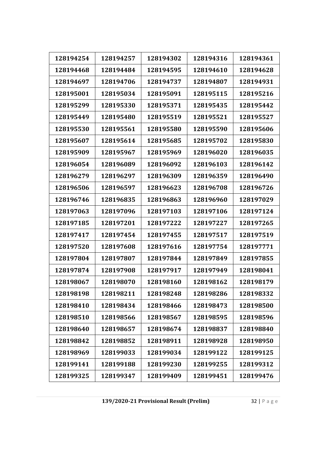| 128194254 | 128194257 | 128194302 | 128194316 | 128194361 |
|-----------|-----------|-----------|-----------|-----------|
| 128194468 | 128194484 | 128194595 | 128194610 | 128194628 |
| 128194697 | 128194706 | 128194737 | 128194807 | 128194931 |
| 128195001 | 128195034 | 128195091 | 128195115 | 128195216 |
| 128195299 | 128195330 | 128195371 | 128195435 | 128195442 |
| 128195449 | 128195480 | 128195519 | 128195521 | 128195527 |
| 128195530 | 128195561 | 128195580 | 128195590 | 128195606 |
| 128195607 | 128195614 | 128195685 | 128195702 | 128195830 |
| 128195909 | 128195967 | 128195969 | 128196020 | 128196035 |
| 128196054 | 128196089 | 128196092 | 128196103 | 128196142 |
| 128196279 | 128196297 | 128196309 | 128196359 | 128196490 |
| 128196506 | 128196597 | 128196623 | 128196708 | 128196726 |
| 128196746 | 128196835 | 128196863 | 128196960 | 128197029 |
| 128197063 | 128197096 | 128197103 | 128197106 | 128197124 |
| 128197185 | 128197201 | 128197222 | 128197227 | 128197265 |
| 128197417 | 128197454 | 128197455 | 128197517 | 128197519 |
| 128197520 | 128197608 | 128197616 | 128197754 | 128197771 |
| 128197804 | 128197807 | 128197844 | 128197849 | 128197855 |
| 128197874 | 128197908 | 128197917 | 128197949 | 128198041 |
| 128198067 | 128198070 | 128198160 | 128198162 | 128198179 |
| 128198198 | 128198211 | 128198248 | 128198286 | 128198332 |
| 128198410 | 128198434 | 128198466 | 128198473 | 128198500 |
| 128198510 | 128198566 | 128198567 | 128198595 | 128198596 |
| 128198640 | 128198657 | 128198674 | 128198837 | 128198840 |
| 128198842 | 128198852 | 128198911 | 128198928 | 128198950 |
| 128198969 | 128199033 | 128199034 | 128199122 | 128199125 |
| 128199141 | 128199188 | 128199230 | 128199255 | 128199312 |
| 128199325 | 128199347 | 128199409 | 128199451 | 128199476 |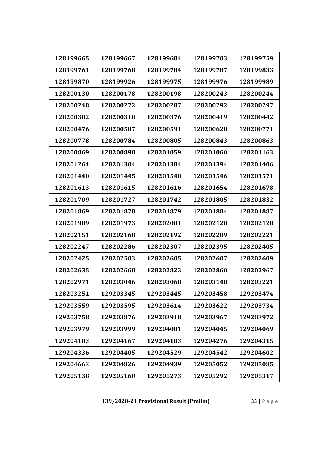| 128199665 | 128199667 | 128199684 | 128199703 | 128199759 |
|-----------|-----------|-----------|-----------|-----------|
| 128199761 | 128199768 | 128199784 | 128199787 | 128199833 |
| 128199870 | 128199926 | 128199975 | 128199976 | 128199989 |
| 128200130 | 128200178 | 128200198 | 128200243 | 128200244 |
| 128200248 | 128200272 | 128200287 | 128200292 | 128200297 |
| 128200302 | 128200310 | 128200376 | 128200419 | 128200442 |
| 128200476 | 128200507 | 128200591 | 128200620 | 128200771 |
| 128200778 | 128200784 | 128200805 | 128200843 | 128200863 |
| 128200869 | 128200898 | 128201059 | 128201060 | 128201163 |
| 128201264 | 128201304 | 128201384 | 128201394 | 128201406 |
| 128201440 | 128201445 | 128201540 | 128201546 | 128201571 |
| 128201613 | 128201615 | 128201616 | 128201654 | 128201678 |
| 128201709 | 128201727 | 128201742 | 128201805 | 128201832 |
| 128201869 | 128201878 | 128201879 | 128201884 | 128201887 |
| 128201909 | 128201973 | 128202001 | 128202120 | 128202128 |
| 128202151 | 128202168 | 128202192 | 128202209 | 128202221 |
| 128202247 | 128202286 | 128202307 | 128202395 | 128202405 |
| 128202425 | 128202503 | 128202605 | 128202607 | 128202609 |
| 128202635 | 128202668 | 128202823 | 128202860 | 128202967 |
| 128202971 | 128203046 | 128203068 | 128203148 | 128203221 |
| 128203251 | 129203345 | 129203445 | 129203458 | 129203474 |
| 129203559 | 129203595 | 129203614 | 129203622 | 129203734 |
| 129203758 | 129203876 | 129203918 | 129203967 | 129203972 |
| 129203979 | 129203999 | 129204001 | 129204045 | 129204069 |
| 129204103 | 129204167 | 129204183 | 129204276 | 129204315 |
| 129204336 | 129204405 | 129204529 | 129204542 | 129204602 |
| 129204663 | 129204826 | 129204939 | 129205052 | 129205085 |
| 129205138 | 129205160 | 129205273 | 129205292 | 129205317 |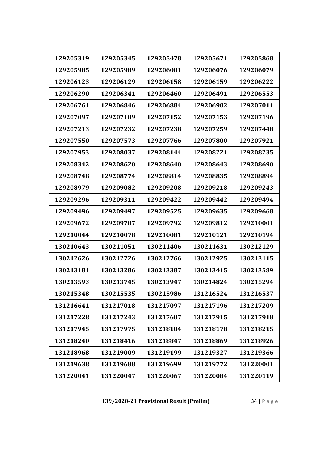| 129205319 | 129205345 | 129205478 | 129205671 | 129205868 |
|-----------|-----------|-----------|-----------|-----------|
| 129205985 | 129205989 | 129206001 | 129206076 | 129206079 |
| 129206123 | 129206129 | 129206158 | 129206159 | 129206222 |
| 129206290 | 129206341 | 129206460 | 129206491 | 129206553 |
| 129206761 | 129206846 | 129206884 | 129206902 | 129207011 |
| 129207097 | 129207109 | 129207152 | 129207153 | 129207196 |
| 129207213 | 129207232 | 129207238 | 129207259 | 129207448 |
| 129207550 | 129207573 | 129207766 | 129207800 | 129207921 |
| 129207953 | 129208037 | 129208144 | 129208221 | 129208235 |
| 129208342 | 129208620 | 129208640 | 129208643 | 129208690 |
| 129208748 | 129208774 | 129208814 | 129208835 | 129208894 |
| 129208979 | 129209082 | 129209208 | 129209218 | 129209243 |
| 129209296 | 129209311 | 129209422 | 129209442 | 129209494 |
| 129209496 | 129209497 | 129209525 | 129209635 | 129209668 |
| 129209672 | 129209707 | 129209792 | 129209812 | 129210001 |
| 129210044 | 129210078 | 129210081 | 129210121 | 129210194 |
| 130210643 | 130211051 | 130211406 | 130211631 | 130212129 |
| 130212626 | 130212726 | 130212766 | 130212925 | 130213115 |
| 130213181 | 130213286 | 130213387 | 130213415 | 130213589 |
| 130213593 | 130213745 | 130213947 | 130214824 | 130215294 |
| 130215348 | 130215535 | 130215986 | 131216524 | 131216537 |
| 131216641 | 131217018 | 131217097 | 131217196 | 131217209 |
| 131217228 | 131217243 | 131217607 | 131217915 | 131217918 |
| 131217945 | 131217975 | 131218104 | 131218178 | 131218215 |
| 131218240 | 131218416 | 131218847 | 131218869 | 131218926 |
| 131218968 | 131219009 | 131219199 | 131219327 | 131219366 |
| 131219638 | 131219688 | 131219699 | 131219772 | 131220001 |
| 131220041 | 131220047 | 131220067 | 131220084 | 131220119 |